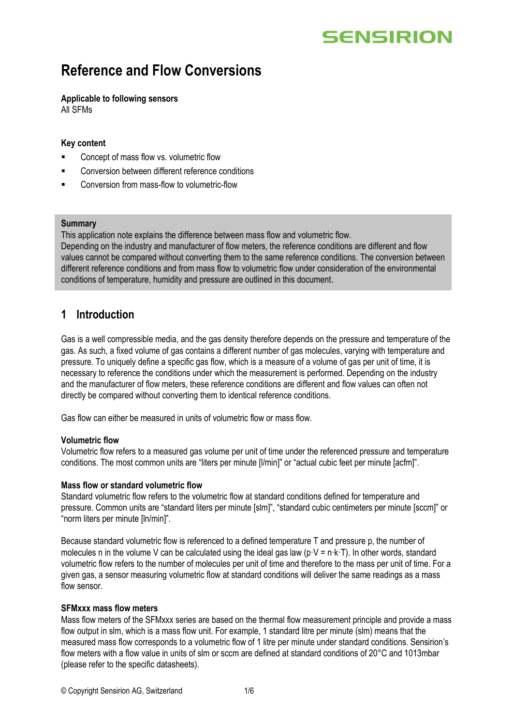# **SENSIRION**

## **Reference and Flow Conversions**

## **Applicable to following sensors**

All SFMs

### **Key content**

- Concept of mass flow vs. volumetric flow
- Conversion between different reference conditions
- Conversion from mass-flow to volumetric-flow

#### **Summary**

This application note explains the difference between mass flow and volumetric flow.

Depending on the industry and manufacturer of flow meters, the reference conditions are different and flow values cannot be compared without converting them to the same reference conditions. The conversion between different reference conditions and from mass flow to volumetric flow under consideration of the environmental conditions of temperature, humidity and pressure are outlined in this document.

## **1 Introduction**

Gas is a well compressible media, and the gas density therefore depends on the pressure and temperature of the gas. As such, a fixed volume of gas contains a different number of gas molecules, varying with temperature and pressure. To uniquely define a specific gas flow, which is a measure of a volume of gas per unit of time, it is necessary to reference the conditions under which the measurement is performed. Depending on the industry and the manufacturer of flow meters, these reference conditions are different and flow values can often not directly be compared without converting them to identical reference conditions.

Gas flow can either be measured in units of volumetric flow or mass flow.

#### **Volumetric flow**

Volumetric flow refers to a measured gas volume per unit of time under the referenced pressure and temperature conditions. The most common units are "liters per minute [l/min]" or "actual cubic feet per minute [acfm]".

#### **Mass flow or standard volumetric flow**

Standard volumetric flow refers to the volumetric flow at standard conditions defined for temperature and pressure. Common units are "standard liters per minute [slm]", "standard cubic centimeters per minute [sccm]" or "norm liters per minute [ln/min]".

Because standard volumetric flow is referenced to a defined temperature T and pressure p, the number of molecules n in the volume V can be calculated using the ideal gas law (p·V = n·k·T). In other words, standard volumetric flow refers to the number of molecules per unit of time and therefore to the mass per unit of time. For a given gas, a sensor measuring volumetric flow at standard conditions will deliver the same readings as a mass flow sensor.

### **SFMxxx mass flow meters**

Mass flow meters of the SFMxxx series are based on the thermal flow measurement principle and provide a mass flow output in slm, which is a mass flow unit. For example, 1 standard litre per minute (slm) means that the measured mass flow corresponds to a volumetric flow of 1 litre per minute under standard conditions. Sensirion's flow meters with a flow value in units of slm or sccm are defined at standard conditions of 20°C and 1013mbar (please refer to the specific datasheets).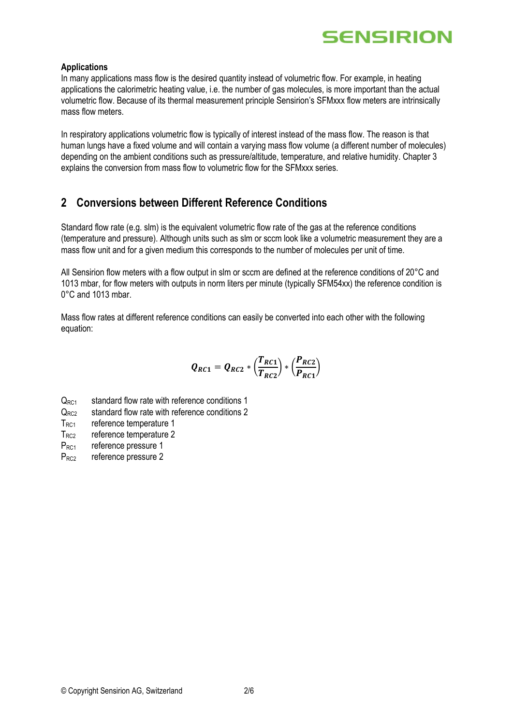

#### **Applications**

In many applications mass flow is the desired quantity instead of volumetric flow. For example, in heating applications the calorimetric heating value, i.e. the number of gas molecules, is more important than the actual volumetric flow. Because of its thermal measurement principle Sensirion's SFMxxx flow meters are intrinsically mass flow meters.

In respiratory applications volumetric flow is typically of interest instead of the mass flow. The reason is that human lungs have a fixed volume and will contain a varying mass flow volume (a different number of molecules) depending on the ambient conditions such as pressure/altitude, temperature, and relative humidity. Chapter 3 explains the conversion from mass flow to volumetric flow for the SFMxxx series.

## **2 Conversions between Different Reference Conditions**

Standard flow rate (e.g. slm) is the equivalent volumetric flow rate of the gas at the reference conditions (temperature and pressure). Although units such as slm or sccm look like a volumetric measurement they are a mass flow unit and for a given medium this corresponds to the number of molecules per unit of time.

All Sensirion flow meters with a flow output in slm or sccm are defined at the reference conditions of 20°C and 1013 mbar, for flow meters with outputs in norm liters per minute (typically SFM54xx) the reference condition is 0°C and 1013 mbar.

Mass flow rates at different reference conditions can easily be converted into each other with the following equation:

$$
Q_{RC1} = Q_{RC2} * \left(\frac{T_{RC1}}{T_{RC2}}\right) * \left(\frac{P_{RC2}}{P_{RC1}}\right)
$$

- $Q<sub>RC1</sub>$  standard flow rate with reference conditions 1
- $Q_{RC2}$  standard flow rate with reference conditions 2
- T<sub>RC1</sub> reference temperature 1
- $T_{RC2}$  reference temperature 2
- P<sub>RC1</sub> reference pressure 1
- P<sub>RC2</sub> reference pressure 2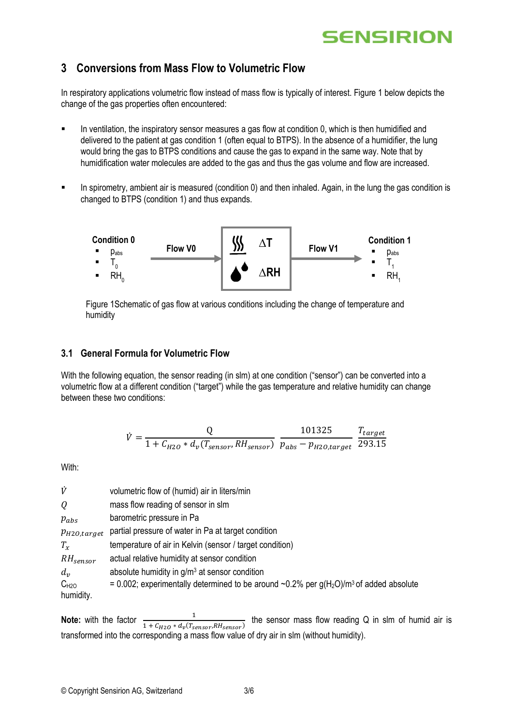# **SENSIRION**

## **3 Conversions from Mass Flow to Volumetric Flow**

In respiratory applications volumetric flow instead of mass flow is typically of interest. Figure 1 below depicts the change of the gas properties often encountered:

- In ventilation, the inspiratory sensor measures a gas flow at condition 0, which is then humidified and delivered to the patient at gas condition 1 (often equal to BTPS). In the absence of a humidifier, the lung would bring the gas to BTPS conditions and cause the gas to expand in the same way. Note that by humidification water molecules are added to the gas and thus the gas volume and flow are increased.
- In spirometry, ambient air is measured (condition 0) and then inhaled. Again, in the lung the gas condition is changed to BTPS (condition 1) and thus expands.



Figure 1Schematic of gas flow at various conditions including the change of temperature and humidity

## **3.1 General Formula for Volumetric Flow**

With the following equation, the sensor reading (in slm) at one condition ("sensor") can be converted into a volumetric flow at a different condition ("target") while the gas temperature and relative humidity can change between these two conditions:

$$
\dot{V} = \frac{Q}{1 + C_{H2O} * d_v (T_{sensor}, RH_{sensor})} \frac{101325}{p_{abs} - p_{H2O,target}} \frac{T_{target}}{293.15}
$$

With:

| V                      | volumetric flow of (humid) air in liters/min                                              |
|------------------------|-------------------------------------------------------------------------------------------|
| Q                      | mass flow reading of sensor in slm                                                        |
| $p_{abs}$              | barometric pressure in Pa                                                                 |
| $p_{H2O,target}$       | partial pressure of water in Pa at target condition                                       |
| $T_{\rm x}$            | temperature of air in Kelvin (sensor / target condition)                                  |
| $RH_{sensor}$          | actual relative humidity at sensor condition                                              |
| $d_{\nu}$              | absolute humidity in $g/m3$ at sensor condition                                           |
| $C_{H2O}$<br>humidity. | = 0.002; experimentally determined to be around ~0.2% per $g(H_2O)/m^3$ of added absolute |

**Note:** with the factor  $\frac{1}{1 + C_{H2O} * d_v(T_{sensor}, RH_{sensor})}$  the sensor mass flow reading Q in slm of humid air is transformed into the corresponding a mass flow value of dry air in slm (without humidity).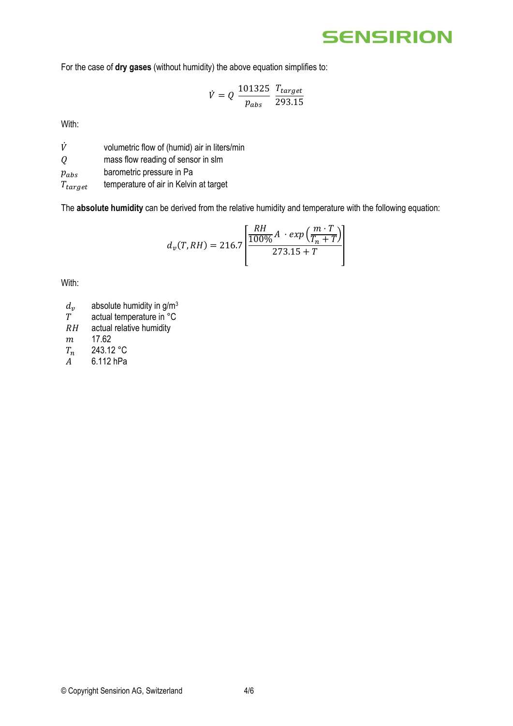## **SENSIRION**

For the case of **dry gases** (without humidity) the above equation simplifies to:

$$
\dot{V} = Q \frac{101325}{p_{abs}} \frac{T_{target}}{293.15}
$$

With:

 $\dot{V}$  volumetric flow of (humid) air in liters/min

mass flow reading of sensor in slm

 $p_{abs}$  barometric pressure in Pa

 $T_{target}$  temperature of air in Kelvin at target

The **absolute humidity** can be derived from the relative humidity and temperature with the following equation:

$$
d_{\nu}(T, RH) = 216.7 \left[ \frac{RH}{100\%} A \cdot exp\left(\frac{m \cdot T}{T_n + T}\right) \right]
$$

With:

- $d_v$  absolute humidity in g/m<sup>3</sup><br>T actual temperature in °C
- $T$  actual temperature in  ${}^{\circ}$ C<br>  $RH$  actual relative humidity
- actual relative humidity
- $m$  17.62
- $T_n$  243.12 °C<br>
A 6.112 hPa
- 6.112 hPa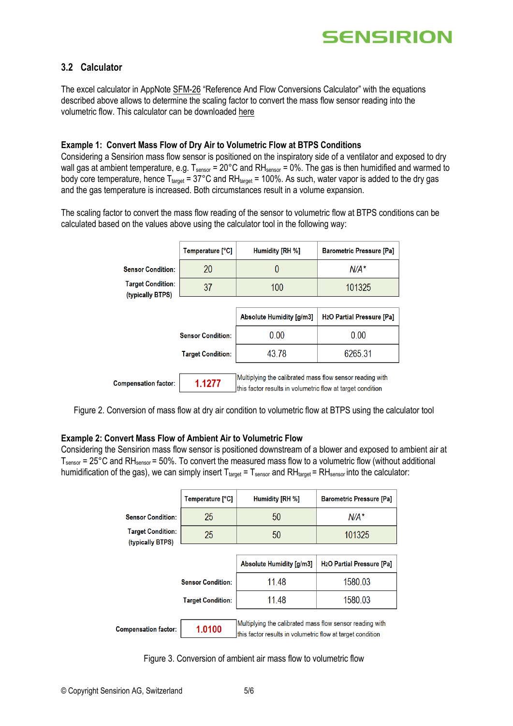

## **3.2 Calculator**

The excel calculator in AppNote [SFM-26](http://www.sensirion.com/file/sfm_conversions_calculator) "Reference And Flow Conversions Calculator" with the equations described above allows to determine the scaling factor to convert the mass flow sensor reading into the volumetric flow. This calculator can be downloaded [here](http://www.sensirion.com/file/sfm_conversions_calculator)

#### **Example 1: Convert Mass Flow of Dry Air to Volumetric Flow at BTPS Conditions**

Considering a Sensirion mass flow sensor is positioned on the inspiratory side of a ventilator and exposed to dry wall gas at ambient temperature, e.g.  $T_{\text{sensor}} = 20^{\circ}C$  and RH<sub>sensor</sub> = 0%. The gas is then humidified and warmed to body core temperature, hence  $T_{\text{target}} = 37^{\circ}$ C and RH<sub>target</sub> = 100%. As such, water vapor is added to the dry gas and the gas temperature is increased. Both circumstances result in a volume expansion.

The scaling factor to convert the mass flow reading of the sensor to volumetric flow at BTPS conditions can be calculated based on the values above using the calculator tool in the following way:

|                                              | Temperature [°C]         | Humidity [RH %]                                                                                                        | <b>Barometric Pressure [Pa]</b>             |
|----------------------------------------------|--------------------------|------------------------------------------------------------------------------------------------------------------------|---------------------------------------------|
| <b>Sensor Condition:</b>                     | 20                       | 0                                                                                                                      | $N/A^*$                                     |
| <b>Target Condition:</b><br>(typically BTPS) | 37                       | 100                                                                                                                    | 101325                                      |
|                                              |                          |                                                                                                                        |                                             |
|                                              |                          | Absolute Humidity [g/m3]                                                                                               | <b>H<sub>2</sub>O</b> Partial Pressure [Pa] |
|                                              | <b>Sensor Condition:</b> | 0.00                                                                                                                   | 0.00                                        |
|                                              | <b>Target Condition:</b> | 43.78                                                                                                                  | 6265.31                                     |
|                                              |                          |                                                                                                                        |                                             |
| <b>Compensation factor:</b>                  | 1.1277                   | Multiplying the calibrated mass flow sensor reading with<br>this factor results in volumetric flow at target condition |                                             |

Figure 2. Conversion of mass flow at dry air condition to volumetric flow at BTPS using the calculator tool

#### **Example 2: Convert Mass Flow of Ambient Air to Volumetric Flow**

Considering the Sensirion mass flow sensor is positioned downstream of a blower and exposed to ambient air at  $T_{\text{sensor}}$  = 25°C and RH $_{\text{sensor}}$  = 50%. To convert the measured mass flow to a volumetric flow (without additional humidification of the gas), we can simply insert  $T_{target} = T_{sensor}$  and  $RH_{target} = RH_{sensor}$  into the calculator:

|                                              | Temperature [°C]         | Humidity [RH %]                                                                                                        | <b>Barometric Pressure [Pa]</b>             |
|----------------------------------------------|--------------------------|------------------------------------------------------------------------------------------------------------------------|---------------------------------------------|
| <b>Sensor Condition:</b>                     | 25                       | 50                                                                                                                     | $N/A^*$                                     |
| <b>Target Condition:</b><br>(typically BTPS) | 25                       | 50                                                                                                                     | 101325                                      |
|                                              |                          |                                                                                                                        |                                             |
|                                              |                          | Absolute Humidity [g/m3]                                                                                               | <b>H<sub>2</sub>O</b> Partial Pressure [Pa] |
|                                              | <b>Sensor Condition:</b> | 11 48                                                                                                                  | 1580.03                                     |
|                                              | <b>Target Condition:</b> | 11 48                                                                                                                  | 1580.03                                     |
|                                              |                          |                                                                                                                        |                                             |
| <b>Compensation factor:</b>                  | 1.0100                   | Multiplying the calibrated mass flow sensor reading with<br>this factor results in volumetric flow at target condition |                                             |